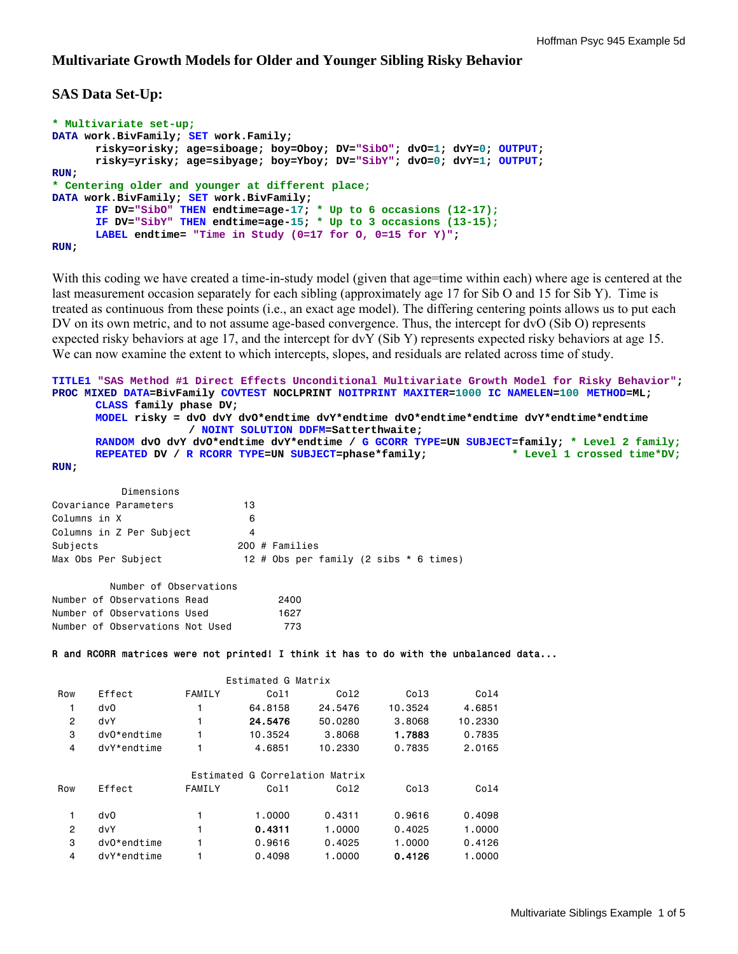#### **Multivariate Growth Models for Older and Younger Sibling Risky Behavior**

### **SAS Data Set-Up:**

```
* Multivariate set-up;
DATA work.BivFamily; SET work.Family; 
       risky=orisky; age=siboage; boy=Oboy; DV="SibO"; dvO=1; dvY=0; OUTPUT; 
       risky=yrisky; age=sibyage; boy=Yboy; DV="SibY"; dvO=0; dvY=1; OUTPUT; 
RUN; 
* Centering older and younger at different place;
DATA work.BivFamily; SET work.BivFamily; 
       IF DV="SibO" THEN endtime=age-17; * Up to 6 occasions (12-17);
       IF DV="SibY" THEN endtime=age-15; * Up to 3 occasions (13-15);
      LABEL endtime= "Time in Study (0=17 for O, 0=15 for Y)"; 
RUN;
```
With this coding we have created a time-in-study model (given that age=time within each) where age is centered at the last measurement occasion separately for each sibling (approximately age 17 for Sib O and 15 for Sib Y). Time is treated as continuous from these points (i.e., an exact age model). The differing centering points allows us to put each DV on its own metric, and to not assume age-based convergence. Thus, the intercept for dvO (Sib O) represents expected risky behaviors at age 17, and the intercept for dvY (Sib Y) represents expected risky behaviors at age 15. We can now examine the extent to which intercepts, slopes, and residuals are related across time of study.

```
TITLE1 "SAS Method #1 Direct Effects Unconditional Multivariate Growth Model for Risky Behavior"; 
PROC MIXED DATA=BivFamily COVTEST NOCLPRINT NOITPRINT MAXITER=1000 IC NAMELEN=100 METHOD=ML; 
     CLASS family phase DV; 
      MODEL risky = dvO dvY dvO*endtime dvY*endtime dvO*endtime*endtime dvY*endtime*endtime 
                  / NOINT SOLUTION DDFM=Satterthwaite; 
      RANDOM dvO dvY dvO*endtime dvY*endtime / G GCORR TYPE=UN SUBJECT=family; * Level 2 family;
     REPEATED DV / R RCORR TYPE=UN SUBJECT=phase*family; * Level 1 crossed time*DV;
RUN; 
         Dimensions 
Covariance Parameters 13
Columns in X 6
Columns in Z Per Subject 4 
Subjects 200 # Families 
Max Obs Per Subject 12 # Obs per family (2 sibs * 6 times)
        Number of Observations 
Number of Observations Read 2400 
Number of Observations Used 1627
Number of Observations Not Used 773
R and RCORR matrices were not printed! I think it has to do with the unbalanced data... 
                      Estimated G Matrix 
 Row Effect FAMILY Col1 Col2 Col3 Col4 
   1 dvO 1 64.8158 24.5476 10.3524 4.6851 
   2 dvY 1 24.5476 50.0280 3.8068 10.2330 
   3 dvO*endtime 1 10.3524 3.8068 1.7883 0.7835 
   4 dvY*endtime 1 4.6851 10.2330 0.7835 2.0165 
      Estimated G Correlation Matrix 
 Row Effect FAMILY Col1 Col2 Col3 Col4 
   1 dvO 1 1.0000 0.4311 0.9616 0.4098 
   2 dvY 1 0.4311 1.0000 0.4025 1.0000 
 3 dvO*endtime 1 0.9616 0.4025 1.0000 0.4126 
 4 dvY*endtime 1 0.4098 1.0000 0.4126 1.0000
```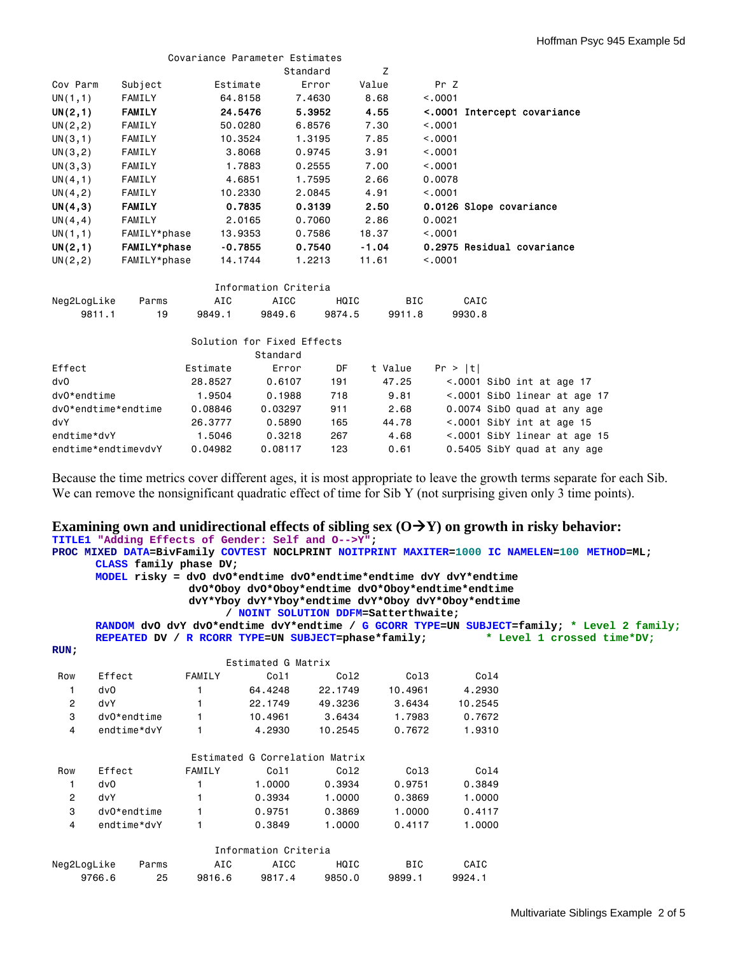|          |               |           | Covariance Parameter Estimates |       |                             |
|----------|---------------|-----------|--------------------------------|-------|-----------------------------|
|          |               |           | Standard                       | Z     |                             |
| Cov Parm | Subject       | Estimate  | Error                          | Value | Pr Z                        |
| UN(1,1)  | FAMILY        | 64,8158   | 7.4630                         | 8,68  | < 0.001                     |
| UN(2,1)  | <b>FAMILY</b> | 24.5476   | 5.3952                         | 4.55  | <.0001 Intercept covariance |
| UN(2, 2) | FAMILY        | 50,0280   | 6.8576                         | 7.30  | < 0.001                     |
| UN(3,1)  | FAMILY        | 10.3524   | 1.3195                         | 7.85  | < 0.001                     |
| UN(3, 2) | FAMILY        | 3,8068    | 0.9745                         | 3.91  | < 0.001                     |
| UN(3,3)  | FAMILY        | 1,7883    | 0.2555                         | 7.00  | < 0.001                     |
| UN(4,1)  | FAMILY        | 4.6851    | 1.7595                         | 2.66  | 0.0078                      |
| UN(4, 2) | FAMILY        | 10,2330   | 2.0845                         | 4.91  | < 0.001                     |
| UN(4,3)  | <b>FAMILY</b> | 0.7835    | 0.3139                         | 2.50  | 0.0126 Slope covariance     |
| UN(4, 4) | FAMILY        | 2.0165    | 0.7060                         | 2.86  | 0.0021                      |
| UN(1,1)  | FAMILY*phase  | 13.9353   | 0.7586                         | 18.37 | < 0.001                     |
| UN(2,1)  | FAMILY*phase  | $-0.7855$ | 0.7540                         | -1.04 | 0.2975 Residual covariance  |
| UN(2, 2) | FAMILY*phase  | 14.1744   | 1,2213                         | 11.61 | < 0.001                     |

| Information Criteria |       |        |        |        |        |        |  |  |  |
|----------------------|-------|--------|--------|--------|--------|--------|--|--|--|
| Neg2LogLike          | Parms | AIC    | ATCC.  | HQTC.  | BIC    | CAIC   |  |  |  |
| 9811.1               | 1 Q   | 9849.1 | 9849.6 | 9874.5 | 9911.8 | 9930.8 |  |  |  |

|                     |          | Standard | Solution for Fixed Effects |         |         |  |                                    |  |
|---------------------|----------|----------|----------------------------|---------|---------|--|------------------------------------|--|
| Effect              | Estimate | Error    | DF                         | t Value | Pr >  t |  |                                    |  |
| dv0                 | 28,8527  | 0.6107   | 191                        | 47.25   |         |  | $\leq$ .0001 SibO int at age 17    |  |
| $dv0*endtime$       | 1.9504   | 0.1988   | 718                        | 9.81    |         |  | $\leq$ .0001 SibO linear at age 17 |  |
| dv0*endtime*endtime | 0.08846  | 0.03297  | 911                        | 2.68    |         |  | 0.0074 SibO quad at any age        |  |
| dvY                 | 26,3777  | 0.5890   | 165                        | 44.78   |         |  | $< .0001$ SibY int at age 15       |  |
| endtime*dvY         | 1,5046   | 0.3218   | 267                        | 4.68    |         |  | <.0001 SibY linear at age 15       |  |
| endtime*endtimevdvY | 0.04982  | 0.08117  | 123                        | 0.61    |         |  | 0.5405 SibY quad at any age        |  |

Because the time metrics cover different ages, it is most appropriate to leave the growth terms separate for each Sib. We can remove the nonsignificant quadratic effect of time for Sib Y (not surprising given only 3 time points).

# **Examining own and unidirectional effects of sibling sex**  $(O \rightarrow Y)$  **on growth in risky behavior:**

|                |               | TITLE1 "Adding Effects of Gender: Self and O-->Y";                |                                      |         |            |                                                     |                                                                                              |
|----------------|---------------|-------------------------------------------------------------------|--------------------------------------|---------|------------|-----------------------------------------------------|----------------------------------------------------------------------------------------------|
|                |               |                                                                   |                                      |         |            |                                                     | PROC MIXED DATA=BivFamily COVTEST NOCLPRINT NOITPRINT MAXITER=1000 IC NAMELEN=100 METHOD=ML; |
|                |               | CLASS family phase DV;                                            |                                      |         |            |                                                     |                                                                                              |
|                |               | MODEL risky = dvO dvO*endtime dvO*endtime*endtime dvY dvY*endtime |                                      |         |            |                                                     |                                                                                              |
|                |               |                                                                   |                                      |         |            | dv0*0boy dv0*0boy*endtime dv0*0boy*endtime*endtime  |                                                                                              |
|                |               |                                                                   |                                      |         |            | dvY*Yboy dvY*Yboy*endtime dvY*Oboy dvY*Oboy*endtime |                                                                                              |
|                |               |                                                                   | / NOINT SOLUTION DDFM=Satterthwaite; |         |            |                                                     |                                                                                              |
|                |               |                                                                   |                                      |         |            |                                                     | RANDOM dvO dvY dvO*endtime dvY*endtime / G GCORR TYPE=UN SUBJECT=family; * Level 2 family;   |
|                |               | REPEATED DV / R RCORR TYPE=UN SUBJECT=phase*family;               |                                      |         |            |                                                     | * Level 1 crossed time*DV;                                                                   |
| RUN:           |               |                                                                   | Estimated G Matrix                   |         |            |                                                     |                                                                                              |
|                |               | FAMILY                                                            |                                      |         |            |                                                     |                                                                                              |
| Row            | Effect        |                                                                   | Col1                                 | Col2    | Col3       | Col4                                                |                                                                                              |
| 1              | dvO           |                                                                   | 64.4248                              | 22,1749 | 10,4961    | 4,2930                                              |                                                                                              |
| $\overline{c}$ | dvY           |                                                                   | 22,1749                              | 49,3236 | 3.6434     | 10.2545                                             |                                                                                              |
| 3              | dvO*endtime   | $\mathbf{1}$                                                      | 10,4961                              | 3.6434  | 1,7983     | 0.7672                                              |                                                                                              |
| $\overline{4}$ | endtime*dvY   |                                                                   | 4,2930                               | 10.2545 | 0.7672     | 1,9310                                              |                                                                                              |
|                |               |                                                                   | Estimated G Correlation Matrix       |         |            |                                                     |                                                                                              |
| Row            | Effect        | FAMILY                                                            | Col1                                 | Col2    | Col3       | Col4                                                |                                                                                              |
| 1              | dv0           |                                                                   | 1,0000                               | 0.3934  | 0.9751     | 0.3849                                              |                                                                                              |
| $\overline{c}$ | dvY           |                                                                   | 0.3934                               | 1,0000  | 0.3869     | 1,0000                                              |                                                                                              |
| 3              | $dv0*endtime$ |                                                                   | 0.9751                               | 0.3869  | 1.0000     | 0.4117                                              |                                                                                              |
| $\overline{4}$ | endtime*dvY   | $\mathbf{1}$                                                      | 0.3849                               | 1,0000  | 0.4117     | 1,0000                                              |                                                                                              |
|                |               |                                                                   | Information Criteria                 |         |            |                                                     |                                                                                              |
| Neg2LogLike    | Parms         | AIC                                                               | AICC                                 | HQIC    | <b>BIC</b> | CAIC                                                |                                                                                              |
|                | 9766.6        | 25<br>9816.6                                                      | 9817.4                               | 9850.0  | 9899.1     | 9924.1                                              |                                                                                              |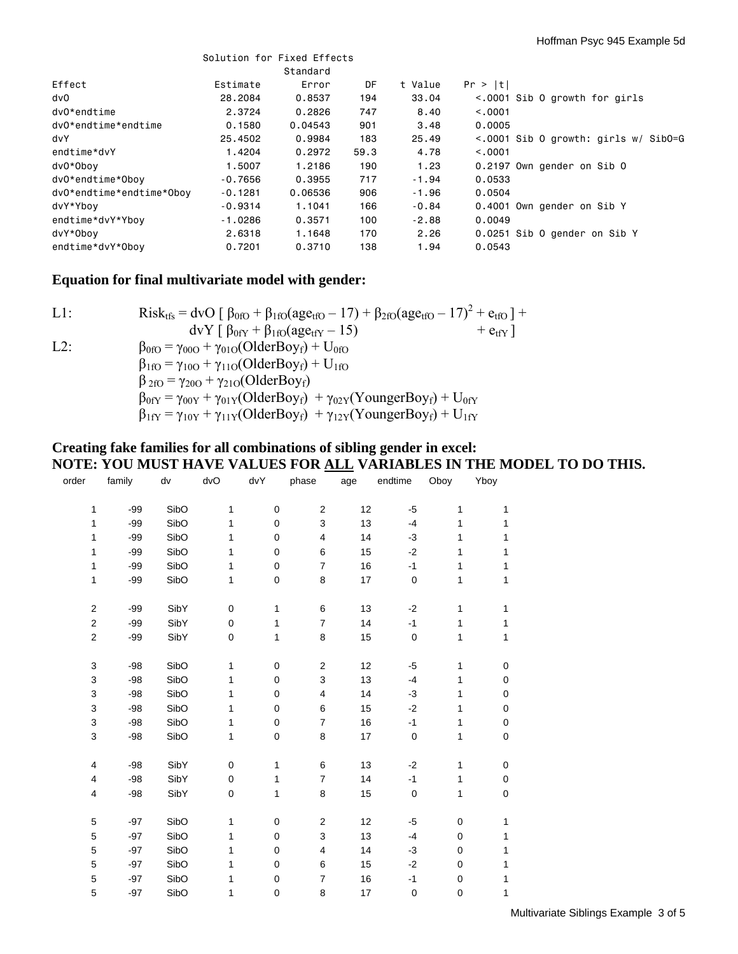|                          | Solution for Fixed Effects |          |      |         |                                            |
|--------------------------|----------------------------|----------|------|---------|--------------------------------------------|
|                          |                            | Standard |      |         |                                            |
| Effect                   | Estimate                   | Error    | DF   | t Value | Pr >  t                                    |
| dv0                      | 28,2084                    | 0.8537   | 194  | 33.04   | <.0001 Sib 0 growth for girls              |
| dv0*endtime              | 2.3724                     | 0.2826   | 747  | 8,40    | < 0.0001                                   |
| dv0*endtime*endtime      | 0.1580                     | 0.04543  | 901  | 3.48    | 0.0005                                     |
| dvY                      | 25,4502                    | 0.9984   | 183  | 25.49   | $\leq$ .0001 Sib O growth: girls w/ SibO=G |
| endtime*dvY              | 1.4204                     | 0.2972   | 59.3 | 4.78    | < 0.0001                                   |
| dv0*0boy                 | 1.5007                     | 1,2186   | 190  | 1.23    | 0.2197 Own gender on Sib O                 |
| dv0*endtime*Oboy         | $-0.7656$                  | 0.3955   | 717  | $-1.94$ | 0.0533                                     |
| dv0*endtime*endtime*Oboy | $-0.1281$                  | 0.06536  | 906  | -1.96   | 0.0504                                     |
| dvY*Yboy                 | $-0.9314$                  | 1.1041   | 166  | $-0.84$ | 0.4001 Own gender on Sib Y                 |
| endtime*dvY*Ybov         | $-1.0286$                  | 0.3571   | 100  | $-2.88$ | 0.0049                                     |
| dvY*0boy                 | 2,6318                     | 1.1648   | 170  | 2.26    | 0.0251 Sib 0 gender on Sib Y               |
| endtime*dvY*Oboy         | 0.7201                     | 0.3710   | 138  | 1.94    | 0.0543                                     |

## **Equation for final multivariate model with gender:**

| $L1$ : | Risk <sub>tfs</sub> = dvO $\left[\beta_{0f0} + \beta_{1f0}(age_{tf0} - 17) + \beta_{2f0}(age_{tf0} - 17)^{2} + e_{tf0}\right]$ + |
|--------|----------------------------------------------------------------------------------------------------------------------------------|
|        | $dvY \int \beta_{0fY} + \beta_{1f0}(age_{tfY} - 15)$<br>$+$ e <sub>tfY</sub>                                                     |
| $L2$ : | $\beta_{0fO} = \gamma_{00O} + \gamma_{01O}(OlderBoy_f) + U_{0fO}$                                                                |
|        | $\beta_{1f0} = \gamma_{100} + \gamma_{110} (OlderBoy_f) + U_{1f0}$                                                               |
|        | $\beta_{2fO} = \gamma_{20O} + \gamma_{21O}(OlderBoy_f)$                                                                          |
|        | $\beta_{0fY} = \gamma_{00Y} + \gamma_{01Y} (OlderBoy_f) + \gamma_{02Y} (YoungerBoy_f) + U_{0fY}$                                 |
|        | $\beta_{1fY} = \gamma_{10Y} + \gamma_{11Y} (OlderBoy_f) + \gamma_{12Y} (YoungerBoy_f) + U_{1fY}$                                 |

### **Creating fake families for all combinations of sibling gender in excel: NOTE: YOU MUST HAVE VALUES FOR ALL VARIABLES IN THE MODEL TO DO THIS.**

| order                   | family | dv   | dvO       | dvY          | phase                     | age | endtime     | Oboy      | Yboy      |  |
|-------------------------|--------|------|-----------|--------------|---------------------------|-----|-------------|-----------|-----------|--|
|                         |        |      |           |              |                           |     |             |           |           |  |
| 1                       | $-99$  | SibO | 1         | $\pmb{0}$    | $\sqrt{2}$                | 12  | $-5$        | 1         | 1         |  |
| 1                       | $-99$  | SibO | 1         | $\mathbf 0$  | $\ensuremath{\mathsf{3}}$ | 13  | $-4$        | 1         | 1         |  |
| 1                       | $-99$  | SibO | 1         | $\mathbf 0$  | $\overline{4}$            | 14  | $-3$        | 1         | 1         |  |
| 1                       | $-99$  | SibO | 1         | $\mathbf 0$  | 6                         | 15  | $-2$        | 1         | 1         |  |
| 1                       | $-99$  | SibO | 1         | 0            | $\overline{7}$            | 16  | $-1$        | 1         | 1         |  |
| 1                       | $-99$  | SibO | 1         | $\pmb{0}$    | 8                         | 17  | $\pmb{0}$   | 1         | 1         |  |
|                         |        |      |           |              |                           |     |             |           |           |  |
| $\overline{\mathbf{c}}$ | $-99$  | SibY | $\pmb{0}$ | 1            | 6                         | 13  | $-2$        | 1         | 1         |  |
| $\mathbf 2$             | $-99$  | SibY | $\pmb{0}$ | 1            | $\overline{7}$            | 14  | $-1$        | 1         | 1         |  |
| $\overline{c}$          | $-99$  | SibY | $\pmb{0}$ | 1            | 8                         | 15  | $\pmb{0}$   | 1         | 1         |  |
|                         |        |      |           |              |                           |     |             |           |           |  |
| 3                       | $-98$  | SibO | 1         | 0            | $\overline{c}$            | 12  | $-5$        | 1         | 0         |  |
| 3                       | $-98$  | SibO | 1         | 0            | $\ensuremath{\mathsf{3}}$ | 13  | $-4$        | 1         | 0         |  |
| 3                       | $-98$  | SibO | 1         | 0            | 4                         | 14  | $-3$        | 1         | 0         |  |
| 3                       | $-98$  | SibO | 1         | 0            | 6                         | 15  | $-2$        | 1         | 0         |  |
| 3                       | $-98$  | SibO | 1         | 0            | $\overline{7}$            | 16  | $-1$        | 1         | 0         |  |
| 3                       | $-98$  | SibO | 1         | $\pmb{0}$    | $\bf8$                    | 17  | $\mathbf 0$ | 1         | $\pmb{0}$ |  |
|                         |        |      |           |              |                           |     |             |           |           |  |
| 4                       | $-98$  | SibY | $\pmb{0}$ | $\mathbf{1}$ | 6                         | 13  | $-2$        | 1         | 0         |  |
| 4                       | $-98$  | SibY | $\pmb{0}$ | 1            | $\boldsymbol{7}$          | 14  | $-1$        | 1         | 0         |  |
| 4                       | $-98$  | SibY | $\pmb{0}$ | 1            | 8                         | 15  | $\pmb{0}$   | 1         | $\pmb{0}$ |  |
|                         |        |      |           |              |                           |     |             |           |           |  |
| 5                       | $-97$  | SibO | 1         | 0            | $\sqrt{2}$                | 12  | $-5$        | $\pmb{0}$ | 1         |  |
| 5                       | $-97$  | SibO | 1         | $\mathbf 0$  | 3                         | 13  | $-4$        | 0         | 1         |  |
| 5                       | $-97$  | SibO | 1         | $\pmb{0}$    | $\overline{\mathbf{4}}$   | 14  | $-3$        | $\pmb{0}$ | 1         |  |
| 5                       | $-97$  | SibO | 1         | $\mathbf 0$  | 6                         | 15  | $-2$        | 0         | 1         |  |
| 5                       | $-97$  | SibO | 1         | $\pmb{0}$    | $\overline{7}$            | 16  | $-1$        | $\pmb{0}$ | 1         |  |
| 5                       | $-97$  | SibO | 1         | $\pmb{0}$    | 8                         | 17  | $\pmb{0}$   | $\pmb{0}$ | 1         |  |
|                         |        |      |           |              |                           |     |             |           |           |  |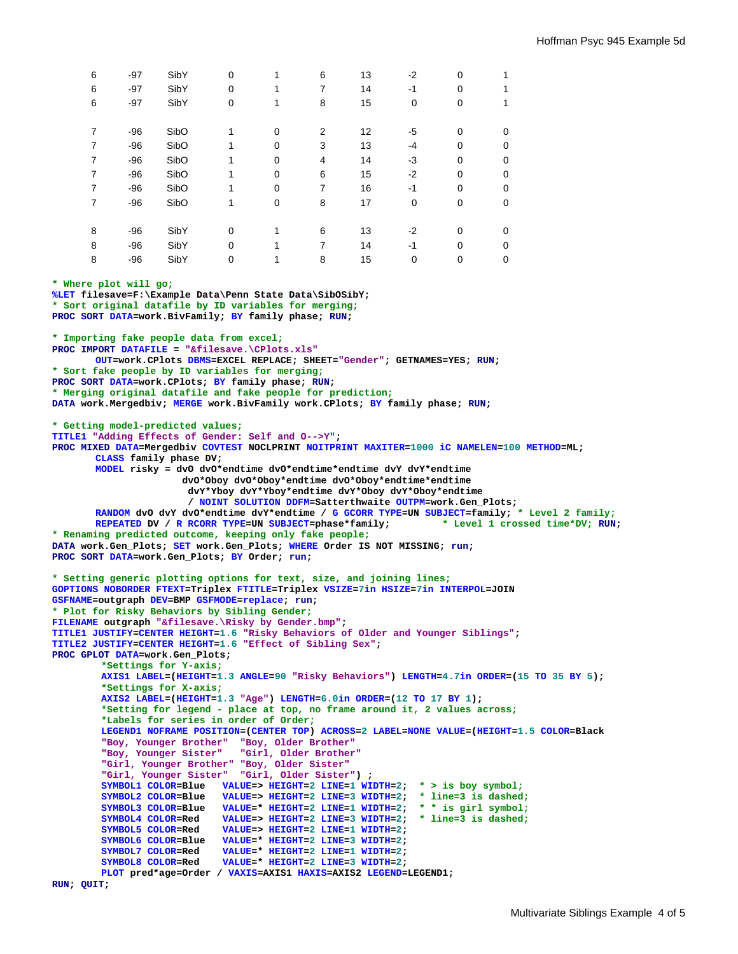| 6              | $-97$ | SibY | $\Omega$    | 1 | 6 | 13 | $-2$     | $\mathbf 0$ |          |
|----------------|-------|------|-------------|---|---|----|----------|-------------|----------|
| 6              | $-97$ | SibY | $\Omega$    | 1 | 7 | 14 | $-1$     | $\Omega$    |          |
| 6              | $-97$ | SibY | 0           | 1 | 8 | 15 | 0        | 0           |          |
|                |       |      |             |   |   |    |          |             |          |
| 7              | $-96$ | SibO |             | 0 | 2 | 12 | -5       | $\mathbf 0$ | 0        |
| $\overline{7}$ | $-96$ | SibO |             | 0 | 3 | 13 | $-4$     | $\Omega$    | 0        |
| 7              | $-96$ | SibO |             | 0 | 4 | 14 | -3       | $\Omega$    | 0        |
| 7              | $-96$ | SibO |             | 0 | 6 | 15 | $-2$     | $\mathbf 0$ | $\Omega$ |
| $\overline{7}$ | $-96$ | SibO |             | 0 | 7 | 16 | $-1$     | $\mathbf 0$ | 0        |
| $\overline{7}$ | $-96$ | SibO |             | 0 | 8 | 17 | $\Omega$ | $\Omega$    | 0        |
|                |       |      |             |   |   |    |          |             |          |
| 8              | $-96$ | SibY | $\mathbf 0$ |   | 6 | 13 | $-2$     | $\Omega$    | 0        |
| 8              | $-96$ | SibY | $\Omega$    | 4 | 7 | 14 | $-1$     | $\Omega$    | 0        |
| 8              | $-96$ | SibY | 0           |   | 8 | 15 | 0        | $\mathbf 0$ | 0        |

**\* Where plot will go; %LET filesave=F:\Example Data\Penn State Data\SibOSibY; \* Sort original datafile by ID variables for merging; PROC SORT DATA=work.BivFamily; BY family phase; RUN; \* Importing fake people data from excel; PROC IMPORT DATAFILE = "&filesave.\CPlots.xls" OUT=work.CPlots DBMS=EXCEL REPLACE; SHEET="Gender"; GETNAMES=YES; RUN; \* Sort fake people by ID variables for merging; PROC SORT DATA=work.CPlots; BY family phase; RUN; \* Merging original datafile and fake people for prediction; DATA work.Mergedbiv; MERGE work.BivFamily work.CPlots; BY family phase; RUN; \* Getting model-predicted values; TITLE1 "Adding Effects of Gender: Self and O-->Y"; PROC MIXED DATA=Mergedbiv COVTEST NOCLPRINT NOITPRINT MAXITER=1000 iC NAMELEN=100 METHOD=ML; CLASS family phase DV; MODEL risky = dvO dvO\*endtime dvO\*endtime\*endtime dvY dvY\*endtime dvO\*Oboy dvO\*Oboy\*endtime dvO\*Oboy\*endtime\*endtime dvY\*Yboy dvY\*Yboy\*endtime dvY\*Oboy dvY\*Oboy\*endtime / NOINT SOLUTION DDFM=Satterthwaite OUTPM=work.Gen\_Plots; RANDOM dvO dvY dvO\*endtime dvY\*endtime / G GCORR TYPE=UN SUBJECT=family; \* Level 2 family;**<br>REPEATED DV / R RCORR TYPE=UN SUBJECT=phase\*family; \* Level 1 crossed time\*DV; RUN; **REPEATED DV / R RCORR TYPE=UN SUBJECT=phase\*family; \* Renaming predicted outcome, keeping only fake people; DATA work.Gen\_Plots; SET work.Gen\_Plots; WHERE Order IS NOT MISSING; run; PROC SORT DATA=work.Gen\_Plots; BY Order; run; \* Setting generic plotting options for text, size, and joining lines; GOPTIONS NOBORDER FTEXT=Triplex FTITLE=Triplex VSIZE=7in HSIZE=7in INTERPOL=JOIN GSFNAME=outgraph DEV=BMP GSFMODE=replace; run; \* Plot for Risky Behaviors by Sibling Gender; FILENAME outgraph "&filesave.\Risky by Gender.bmp"; TITLE1 JUSTIFY=CENTER HEIGHT=1.6 "Risky Behaviors of Older and Younger Siblings"; TITLE2 JUSTIFY=CENTER HEIGHT=1.6 "Effect of Sibling Sex"; PROC GPLOT DATA=work.Gen\_Plots; \*Settings for Y-axis; AXIS1 LABEL=(HEIGHT=1.3 ANGLE=90 "Risky Behaviors") LENGTH=4.7in ORDER=(15 TO 35 BY 5); \*Settings for X-axis; AXIS2 LABEL=(HEIGHT=1.3 "Age") LENGTH=6.0in ORDER=(12 TO 17 BY 1); \*Setting for legend - place at top, no frame around it, 2 values across; \*Labels for series in order of Order; LEGEND1 NOFRAME POSITION=(CENTER TOP) ACROSS=2 LABEL=NONE VALUE=(HEIGHT=1.5 COLOR=Black "Boy, Younger Brother" "Boy, Older Brother" "Boy, Younger Sister" "Girl, Older Brother" "Girl, Younger Brother" "Boy, Older Sister" "Girl, Younger Sister" "Girl, Older Sister") ; SYMBOL1 COLOR=Blue VALUE=> HEIGHT=2 LINE=1 WIDTH=2; \* > is boy symbol; SYMBOL2 COLOR=Blue VALUE=> HEIGHT=2 LINE=3 WIDTH=2; \* line=3 is dashed; SYMBOL3 COLOR=Blue VALUE=\* HEIGHT=2 LINE=1 WIDTH=2; \* \* is girl symbol; SYMBOL4 COLOR=Red VALUE=> HEIGHT=2 LINE=3 WIDTH=2; \* line=3 is dashed; SYMBOL5 COLOR=Red VALUE=> HEIGHT=2 LINE=1 WIDTH=2; SYMBOL6 COLOR=Blue VALUE=\* HEIGHT=2 LINE=3 WIDTH=2; SYMBOL7 COLOR=Red VALUE=\* HEIGHT=2 LINE=1 WIDTH=2; SYMBOL8 COLOR=Red VALUE=\* HEIGHT=2 LINE=3 WIDTH=2;** 

 **PLOT pred\*age=Order / VAXIS=AXIS1 HAXIS=AXIS2 LEGEND=LEGEND1;** 

**RUN; QUIT;**